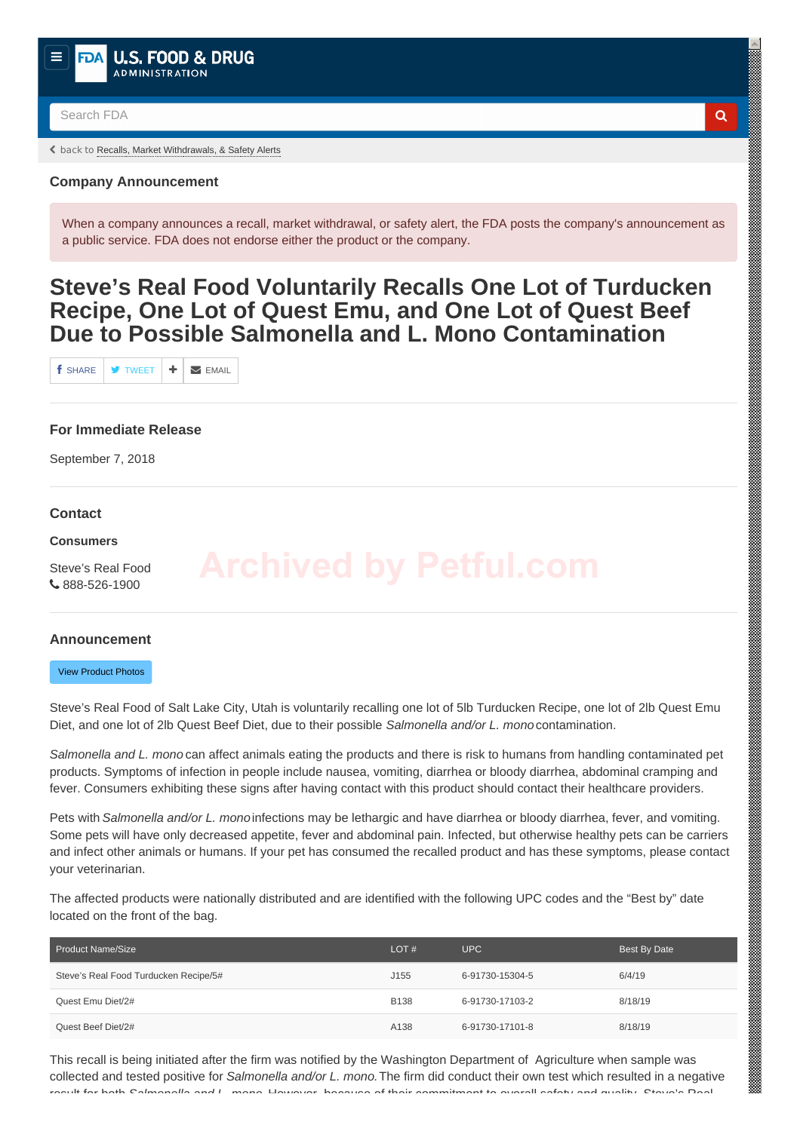<span id="page-0-0"></span>Search FDA **Q** 

back to [Recalls, Market Withdrawals, & Safety Alerts](https://www.fda.gov/Safety/Recalls/default.htm)

# **Company Announcement**

When a company announces a recall, market withdrawal, or safety alert, the FDA posts the company's announcement as a public service. FDA does not endorse either the product or the company.

# **Steve's Real Food Voluntarily Recalls One Lot of Turducken Recipe, One Lot of Quest Emu, and One Lot of Quest Beef Due to Possible Salmonella and L. Mono Contamination**

 $f$  share  $\parallel$  **y** tweet  $\parallel$  **+**  $\parallel$  **z** email

# **For Immediate Release**

September 7, 2018

# **Contact**

### **Consumers**

Steve's Real Food C 888-526-1900

a sa mahalala sa kata sa mahala sa kata sa kata sa kata sa kata sa mata a sa kata a sa kata a sa kata sa magaa

# **Announcement**

[View Product Photos](#page-1-0)

Steve's Real Food of Salt Lake City, Utah is voluntarily recalling one lot of 5lb Turducken Recipe, one lot of 2lb Quest Emu Diet, and one lot of 2lb Quest Beef Diet, due to their possible *Salmonella and/or L. mono* contamination.

*Salmonella and L. mono* can affect animals eating the products and there is risk to humans from handling contaminated pet products. Symptoms of infection in people include nausea, vomiting, diarrhea or bloody diarrhea, abdominal cramping and fever. Consumers exhibiting these signs after having contact with this product should contact their healthcare providers.

Pets with *Salmonella and/or L. mono* infections may be lethargic and have diarrhea or bloody diarrhea, fever, and vomiting. Some pets will have only decreased appetite, fever and abdominal pain. Infected, but otherwise healthy pets can be carriers and infect other animals or humans. If your pet has consumed the recalled product and has these symptoms, please contact your veterinarian.

The affected products were nationally distributed and are identified with the following UPC codes and the "Best by" date located on the front of the bag.

| Product Name/Size                     | LOT#        | <b>UPC</b>      | Best By Date |
|---------------------------------------|-------------|-----------------|--------------|
| Steve's Real Food Turducken Recipe/5# | J155        | 6-91730-15304-5 | 6/4/19       |
| Quest Emu Diet/2#                     | <b>B138</b> | 6-91730-17103-2 | 8/18/19      |
| Quest Beef Diet/2#                    | A138        | 6-91730-17101-8 | 8/18/19      |

This recall is being initiated after the firm was notified by the Washington Department of Agriculture when sample was collected and tested positive for *Salmonella and/or L. mono.* The firm did conduct their own test which resulted in a negative result for both *Salmonella and L. mono*. However, because of their commitment to overall safety and quality, Steve's Real